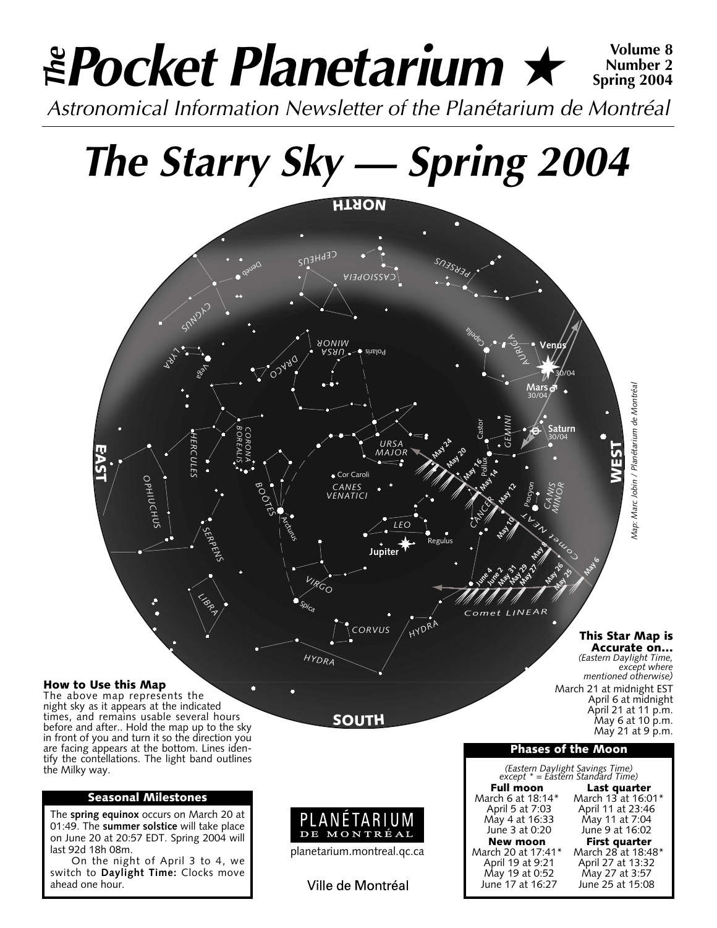### *Pocket Planetarium* ★ **Volume 8** *Astronomical Information Newsletter of the Planétarium de Montréal The* **Number 2 Spring 2004**

# *The Starry Sky — Spring 2004*



night sky as it appears at the indicated times, and remains usable several hours before and after.. Hold the map up to the sky in front of you and turn it so the direction you are facing appears at the bottom. Lines identify the contellations. The light band outlines the Milky way.

#### **Seasonal Milestones**

The **spring equinox** occurs on March 20 at 01:49. The **summer solstice** will take place on June 20 at 20:57 EDT. Spring 2004 will last 92d 18h 08m.

On the night of April 3 to 4, we switch to **Daylight Time:** Clocks move ahead one hour.





June 17 at 16:27

June 9 at 16:02

**Phases of the Moon**

May 21 at 9 p.m.

Ville de Montréal

planetarium.montreal.qc.ca

DE MONTRÉAL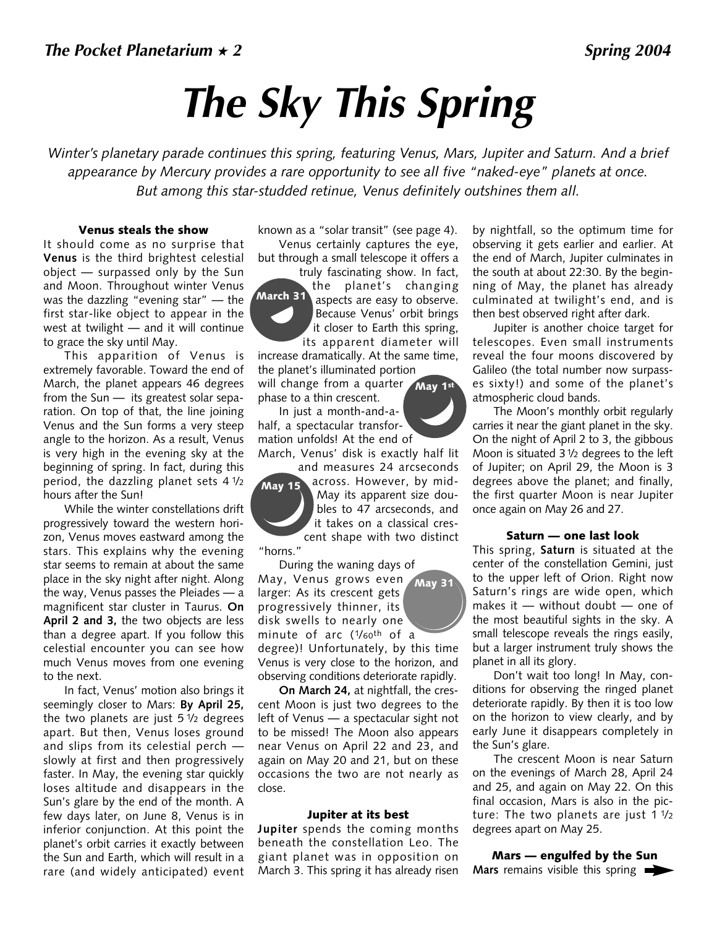## *The Sky This Spring*

*Winter's planetary parade continues this spring, featuring Venus, Mars, Jupiter and Saturn. And a brief appearance by Mercury provides a rare opportunity to see all five "naked-eye" planets at once. But among this star-studded retinue, Venus definitely outshines them all.* 

#### **Venus steals the show**

It should come as no surprise that **Venus** is the third brightest celestial object — surpassed only by the Sun and Moon. Throughout winter Venus was the dazzling "evening star" — the first star-like object to appear in the west at twilight — and it will continue to grace the sky until May.

This apparition of Venus is extremely favorable. Toward the end of March, the planet appears 46 degrees from the Sun — its greatest solar separation. On top of that, the line joining Venus and the Sun forms a very steep angle to the horizon. As a result, Venus is very high in the evening sky at the beginning of spring. In fact, during this period, the dazzling planet sets 4 1/2 hours after the Sun!

While the winter constellations drift progressively toward the western horizon, Venus moves eastward among the stars. This explains why the evening star seems to remain at about the same place in the sky night after night. Along the way, Venus passes the Pleiades — a magnificent star cluster in Taurus. **On April 2 and 3,** the two objects are less than a degree apart. If you follow this celestial encounter you can see how much Venus moves from one evening to the next.

In fact, Venus' motion also brings it seemingly closer to Mars: **By April 25,** the two planets are just  $5\frac{1}{2}$  degrees apart. But then, Venus loses ground and slips from its celestial perch slowly at first and then progressively faster. In May, the evening star quickly loses altitude and disappears in the Sun's glare by the end of the month. A few days later, on June 8, Venus is in inferior conjunction. At this point the planet's orbit carries it exactly between the Sun and Earth, which will result in a rare (and widely anticipated) event

known as a "solar transit" (see page 4). Venus certainly captures the eye, but through a small telescope it offers a

truly fascinating show. In fact, the planet's changing aspects are easy to observe. Because Venus' orbit brings it closer to Earth this spring, its apparent diameter will **March 31**

increase dramatically. At the same time, the planet's illuminated portion

will change from a quarter **May 1st** phase to a thin crescent.

In just a month-and-ahalf, a spectacular transformation unfolds! At the end of March, Venus' disk is exactly half lit

and measures 24 arcseconds across. However, by mid-May its apparent size doubles to 47 arcseconds, and it takes on a classical crescent shape with two distinct "horns." **May 15**

During the waning days of May, Venus grows even larger: As its crescent gets progressively thinner, its disk swells to nearly one minute of arc (1/60th of a **May 31**

degree)! Unfortunately, by this time Venus is very close to the horizon, and observing conditions deteriorate rapidly.

**On March 24,** at nightfall, the crescent Moon is just two degrees to the left of Venus — a spectacular sight not to be missed! The Moon also appears near Venus on April 22 and 23, and again on May 20 and 21, but on these occasions the two are not nearly as close.

#### **Jupiter at its best**

**Jupiter** spends the coming months beneath the constellation Leo. The giant planet was in opposition on March 3. This spring it has already risen

by nightfall, so the optimum time for observing it gets earlier and earlier. At the end of March, Jupiter culminates in the south at about 22:30. By the beginning of May, the planet has already culminated at twilight's end, and is then best observed right after dark.

Jupiter is another choice target for telescopes. Even small instruments reveal the four moons discovered by Galileo (the total number now surpasses sixty!) and some of the planet's atmospheric cloud bands.

The Moon's monthly orbit regularly carries it near the giant planet in the sky. On the night of April 2 to 3, the gibbous Moon is situated 31/2 degrees to the left of Jupiter; on April 29, the Moon is 3 degrees above the planet; and finally, the first quarter Moon is near Jupiter once again on May 26 and 27.

#### **Saturn — one last look**

This spring, **Saturn** is situated at the center of the constellation Gemini, just to the upper left of Orion. Right now Saturn's rings are wide open, which makes it — without doubt — one of the most beautiful sights in the sky. A small telescope reveals the rings easily, but a larger instrument truly shows the planet in all its glory.

Don't wait too long! In May, conditions for observing the ringed planet deteriorate rapidly. By then it is too low on the horizon to view clearly, and by early June it disappears completely in the Sun's glare.

The crescent Moon is near Saturn on the evenings of March 28, April 24 and 25, and again on May 22. On this final occasion, Mars is also in the picture: The two planets are just  $1\frac{1}{2}$ degrees apart on May 25.

**Mars — engulfed by the Sun Mars** remains visible this spring

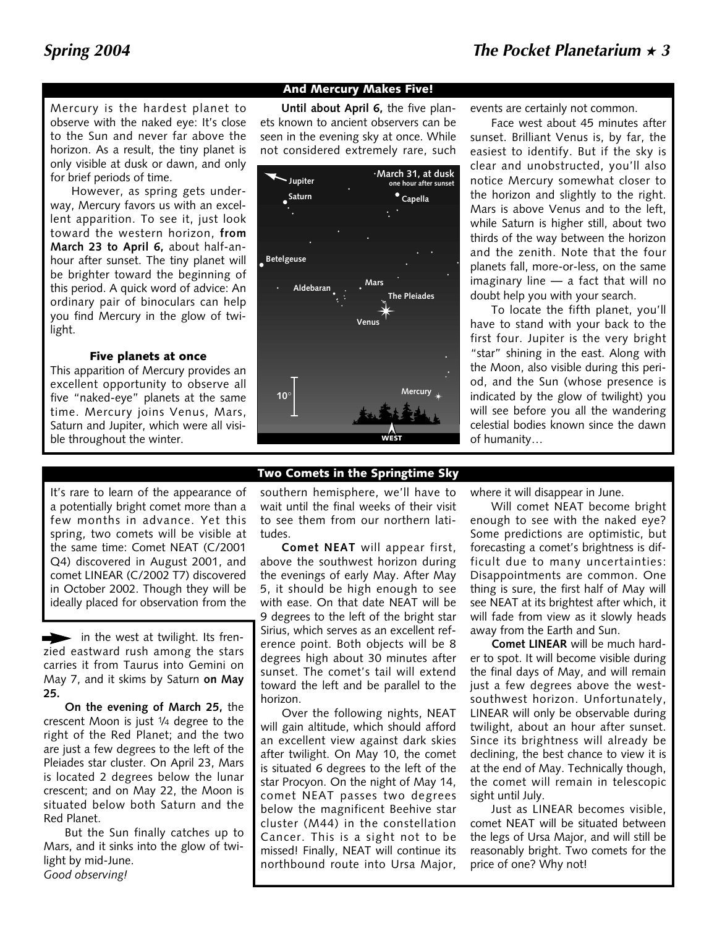#### Mercury is the hardest planet to observe with the naked eye: It's close to the Sun and never far above the horizon. As a result, the tiny planet is only visible at dusk or dawn, and only for brief periods of time.

However, as spring gets underway, Mercury favors us with an excellent apparition. To see it, just look toward the western horizon, **from March 23 to April 6,** about half-anhour after sunset. The tiny planet will be brighter toward the beginning of this period. A quick word of advice: An ordinary pair of binoculars can help you find Mercury in the glow of twilight.

#### **Five planets at once**

This apparition of Mercury provides an excellent opportunity to observe all five "naked-eye" planets at the same time. Mercury joins Venus, Mars, Saturn and Jupiter, which were all visible throughout the winter.

#### **And Mercury Makes Five!**

**Until about April 6,** the five planets known to ancient observers can be seen in the evening sky at once. While not considered extremely rare, such



events are certainly not common.

Face west about 45 minutes after sunset. Brilliant Venus is, by far, the easiest to identify. But if the sky is clear and unobstructed, you'll also notice Mercury somewhat closer to the horizon and slightly to the right. Mars is above Venus and to the left, while Saturn is higher still, about two thirds of the way between the horizon and the zenith. Note that the four planets fall, more-or-less, on the same imaginary line — a fact that will no doubt help you with your search.

To locate the fifth planet, you'll have to stand with your back to the first four. Jupiter is the very bright "star" shining in the east. Along with the Moon, also visible during this period, and the Sun (whose presence is indicated by the glow of twilight) you will see before you all the wandering celestial bodies known since the dawn of humanity…

#### It's rare to learn of the appearance of a potentially bright comet more than a few months in advance. Yet this spring, two comets will be visible at the same time: Comet NEAT (C/2001 Q4) discovered in August 2001, and comet LINEAR (C/2002 T7) discovered in October 2002. Though they will be ideally placed for observation from the

in the west at twilight. Its frenzied eastward rush among the stars carries it from Taurus into Gemini on May 7, and it skims by Saturn **on May 25.**

**On the evening of March 25,** the crescent Moon is just 1/4 degree to the right of the Red Planet; and the two are just a few degrees to the left of the Pleiades star cluster. On April 23, Mars is located 2 degrees below the lunar crescent; and on May 22, the Moon is situated below both Saturn and the Red Planet.

But the Sun finally catches up to Mars, and it sinks into the glow of twilight by mid-June. *Good observing!*

southern hemisphere, we'll have to wait until the final weeks of their visit to see them from our northern latitudes.

**Two Comets in the Springtime Sky**

**Comet NEAT** will appear first, above the southwest horizon during the evenings of early May. After May 5, it should be high enough to see with ease. On that date NEAT will be 9 degrees to the left of the bright star Sirius, which serves as an excellent reference point. Both objects will be 8 degrees high about 30 minutes after sunset. The comet's tail will extend toward the left and be parallel to the horizon.

Over the following nights, NEAT will gain altitude, which should afford an excellent view against dark skies after twilight. On May 10, the comet is situated 6 degrees to the left of the star Procyon. On the night of May 14, comet NEAT passes two degrees below the magnificent Beehive star cluster (M44) in the constellation Cancer. This is a sight not to be missed! Finally, NEAT will continue its northbound route into Ursa Major,

where it will disappear in June.

Will comet NEAT become bright enough to see with the naked eye? Some predictions are optimistic, but forecasting a comet's brightness is difficult due to many uncertainties: Disappointments are common. One thing is sure, the first half of May will see NEAT at its brightest after which, it will fade from view as it slowly heads away from the Earth and Sun.

**Comet LINEAR** will be much harder to spot. It will become visible during the final days of May, and will remain just a few degrees above the westsouthwest horizon. Unfortunately, LINEAR will only be observable during twilight, about an hour after sunset. Since its brightness will already be declining, the best chance to view it is at the end of May. Technically though, the comet will remain in telescopic sight until July.

Just as LINEAR becomes visible, comet NEAT will be situated between the legs of Ursa Major, and will still be reasonably bright. Two comets for the price of one? Why not!